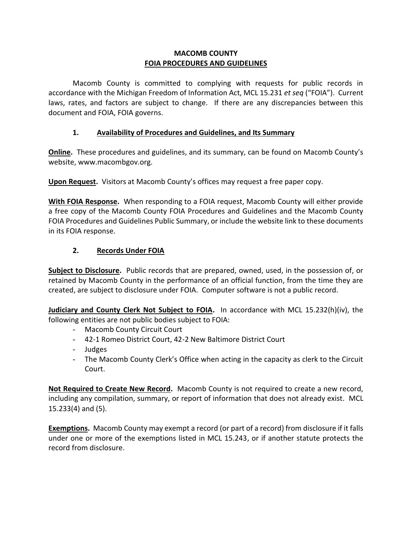# **MACOMB COUNTY FOIA PROCEDURES AND GUIDELINES**

Macomb County is committed to complying with requests for public records in accordance with the Michigan Freedom of Information Act, MCL 15.231 *et seq* ("FOIA"). Current laws, rates, and factors are subject to change. If there are any discrepancies between this document and FOIA, FOIA governs.

# **1. Availability of Procedures and Guidelines, and Its Summary**

**Online.** These procedures and guidelines, and its summary, can be found on Macomb County's website, www.macombgov.org.

**Upon Request.** Visitors at Macomb County's offices may request a free paper copy.

**With FOIA Response.** When responding to a FOIA request, Macomb County will either provide a free copy of the Macomb County FOIA Procedures and Guidelines and the Macomb County FOIA Procedures and Guidelines Public Summary, or include the website link to these documents in its FOIA response.

# **2. Records Under FOIA**

**Subject to Disclosure.** Public records that are prepared, owned, used, in the possession of, or retained by Macomb County in the performance of an official function, from the time they are created, are subject to disclosure under FOIA. Computer software is not a public record.

**Judiciary and County Clerk Not Subject to FOIA.** In accordance with MCL 15.232(h)(iv), the following entities are not public bodies subject to FOIA:

- Macomb County Circuit Court
- 42-1 Romeo District Court, 42-2 New Baltimore District Court
- Judges
- The Macomb County Clerk's Office when acting in the capacity as clerk to the Circuit Court.

**Not Required to Create New Record.** Macomb County is not required to create a new record, including any compilation, summary, or report of information that does not already exist. MCL 15.233(4) and (5).

**Exemptions.** Macomb County may exempt a record (or part of a record) from disclosure if it falls under one or more of the exemptions listed in MCL 15.243, or if another statute protects the record from disclosure.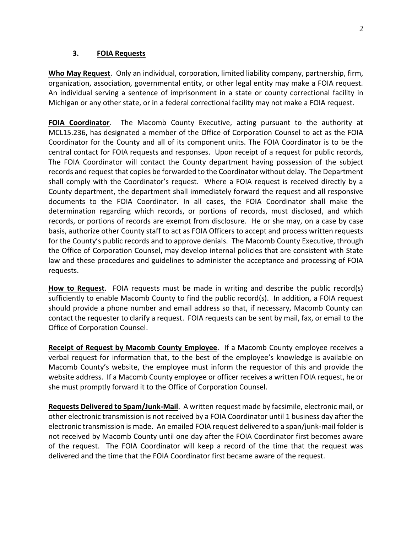#### **3. FOIA Requests**

**Who May Request**. Only an individual, corporation, limited liability company, partnership, firm, organization, association, governmental entity, or other legal entity may make a FOIA request. An individual serving a sentence of imprisonment in a state or county correctional facility in Michigan or any other state, or in a federal correctional facility may not make a FOIA request.

**FOIA Coordinator**. The Macomb County Executive, acting pursuant to the authority at MCL15.236, has designated a member of the Office of Corporation Counsel to act as the FOIA Coordinator for the County and all of its component units. The FOIA Coordinator is to be the central contact for FOIA requests and responses. Upon receipt of a request for public records, The FOIA Coordinator will contact the County department having possession of the subject records and request that copies be forwarded to the Coordinator without delay. The Department shall comply with the Coordinator's request. Where a FOIA request is received directly by a County department, the department shall immediately forward the request and all responsive documents to the FOIA Coordinator. In all cases, the FOIA Coordinator shall make the determination regarding which records, or portions of records, must disclosed, and which records, or portions of records are exempt from disclosure. He or she may, on a case by case basis, authorize other County staff to act as FOIA Officers to accept and process written requests for the County's public records and to approve denials. The Macomb County Executive, through the Office of Corporation Counsel, may develop internal policies that are consistent with State law and these procedures and guidelines to administer the acceptance and processing of FOIA requests.

**How to Request**. FOIA requests must be made in writing and describe the public record(s) sufficiently to enable Macomb County to find the public record(s). In addition, a FOIA request should provide a phone number and email address so that, if necessary, Macomb County can contact the requester to clarify a request. FOIA requests can be sent by mail, fax, or email to the Office of Corporation Counsel.

**Receipt of Request by Macomb County Employee**. If a Macomb County employee receives a verbal request for information that, to the best of the employee's knowledge is available on Macomb County's website, the employee must inform the requestor of this and provide the website address. If a Macomb County employee or officer receives a written FOIA request, he or she must promptly forward it to the Office of Corporation Counsel.

**Requests Delivered to Spam/Junk-Mail**. A written request made by facsimile, electronic mail, or other electronic transmission is not received by a FOIA Coordinator until 1 business day after the electronic transmission is made. An emailed FOIA request delivered to a span/junk-mail folder is not received by Macomb County until one day after the FOIA Coordinator first becomes aware of the request. The FOIA Coordinator will keep a record of the time that the request was delivered and the time that the FOIA Coordinator first became aware of the request.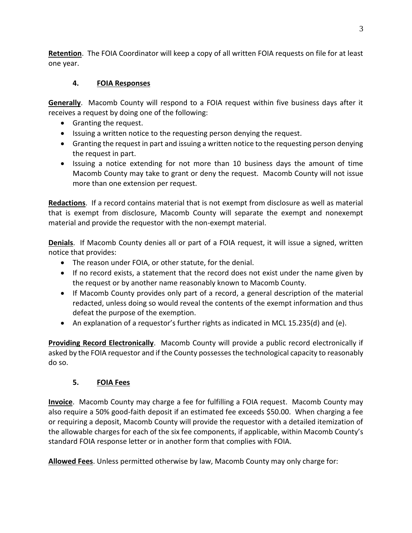**Retention**. The FOIA Coordinator will keep a copy of all written FOIA requests on file for at least one year.

# **4. FOIA Responses**

**Generally**. Macomb County will respond to a FOIA request within five business days after it receives a request by doing one of the following:

- Granting the request.
- Issuing a written notice to the requesting person denying the request.
- Granting the request in part and issuing a written notice to the requesting person denying the request in part.
- Issuing a notice extending for not more than 10 business days the amount of time Macomb County may take to grant or deny the request. Macomb County will not issue more than one extension per request.

**Redactions**. If a record contains material that is not exempt from disclosure as well as material that is exempt from disclosure, Macomb County will separate the exempt and nonexempt material and provide the requestor with the non-exempt material.

**Denials**. If Macomb County denies all or part of a FOIA request, it will issue a signed, written notice that provides:

- The reason under FOIA, or other statute, for the denial.
- If no record exists, a statement that the record does not exist under the name given by the request or by another name reasonably known to Macomb County.
- If Macomb County provides only part of a record, a general description of the material redacted, unless doing so would reveal the contents of the exempt information and thus defeat the purpose of the exemption.
- An explanation of a requestor's further rights as indicated in MCL 15.235(d) and (e).

**Providing Record Electronically**. Macomb County will provide a public record electronically if asked by the FOIA requestor and if the County possesses the technological capacity to reasonably do so.

# **5. FOIA Fees**

**Invoice**. Macomb County may charge a fee for fulfilling a FOIA request. Macomb County may also require a 50% good-faith deposit if an estimated fee exceeds \$50.00. When charging a fee or requiring a deposit, Macomb County will provide the requestor with a detailed itemization of the allowable charges for each of the six fee components, if applicable, within Macomb County's standard FOIA response letter or in another form that complies with FOIA.

**Allowed Fees**. Unless permitted otherwise by law, Macomb County may only charge for: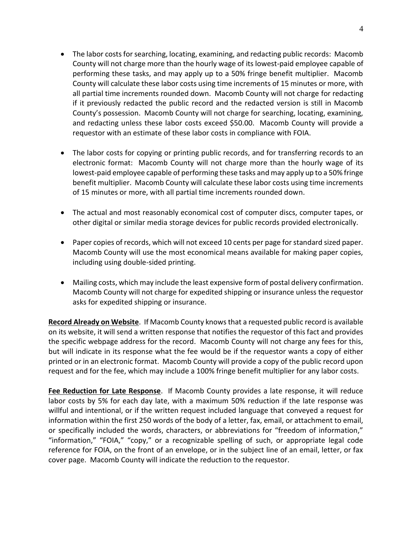- The labor costs for searching, locating, examining, and redacting public records: Macomb County will not charge more than the hourly wage of its lowest-paid employee capable of performing these tasks, and may apply up to a 50% fringe benefit multiplier. Macomb County will calculate these labor costs using time increments of 15 minutes or more, with all partial time increments rounded down. Macomb County will not charge for redacting if it previously redacted the public record and the redacted version is still in Macomb County's possession. Macomb County will not charge for searching, locating, examining, and redacting unless these labor costs exceed \$50.00. Macomb County will provide a requestor with an estimate of these labor costs in compliance with FOIA.
- The labor costs for copying or printing public records, and for transferring records to an electronic format: Macomb County will not charge more than the hourly wage of its lowest-paid employee capable of performing these tasks and may apply up to a 50% fringe benefit multiplier. Macomb County will calculate these labor costs using time increments of 15 minutes or more, with all partial time increments rounded down.
- The actual and most reasonably economical cost of computer discs, computer tapes, or other digital or similar media storage devices for public records provided electronically.
- Paper copies of records, which will not exceed 10 cents per page for standard sized paper. Macomb County will use the most economical means available for making paper copies, including using double-sided printing.
- Mailing costs, which may include the least expensive form of postal delivery confirmation. Macomb County will not charge for expedited shipping or insurance unless the requestor asks for expedited shipping or insurance.

**Record Already on Website**. If Macomb County knows that a requested public record is available on its website, it will send a written response that notifies the requestor of this fact and provides the specific webpage address for the record. Macomb County will not charge any fees for this, but will indicate in its response what the fee would be if the requestor wants a copy of either printed or in an electronic format. Macomb County will provide a copy of the public record upon request and for the fee, which may include a 100% fringe benefit multiplier for any labor costs.

**Fee Reduction for Late Response**. If Macomb County provides a late response, it will reduce labor costs by 5% for each day late, with a maximum 50% reduction if the late response was willful and intentional, or if the written request included language that conveyed a request for information within the first 250 words of the body of a letter, fax, email, or attachment to email, or specifically included the words, characters, or abbreviations for "freedom of information," "information," "FOIA," "copy," or a recognizable spelling of such, or appropriate legal code reference for FOIA, on the front of an envelope, or in the subject line of an email, letter, or fax cover page. Macomb County will indicate the reduction to the requestor.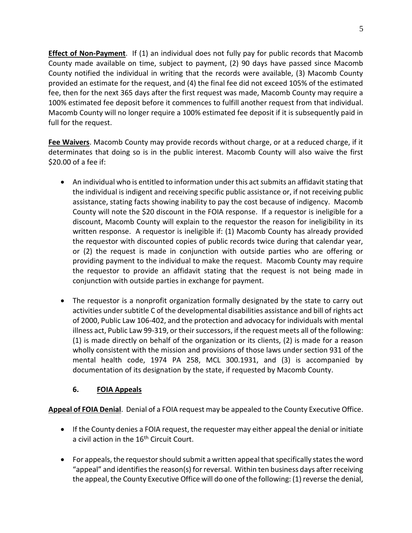**Effect of Non-Payment**. If (1) an individual does not fully pay for public records that Macomb County made available on time, subject to payment, (2) 90 days have passed since Macomb County notified the individual in writing that the records were available, (3) Macomb County provided an estimate for the request, and (4) the final fee did not exceed 105% of the estimated fee, then for the next 365 days after the first request was made, Macomb County may require a 100% estimated fee deposit before it commences to fulfill another request from that individual. Macomb County will no longer require a 100% estimated fee deposit if it is subsequently paid in full for the request.

**Fee Waivers**. Macomb County may provide records without charge, or at a reduced charge, if it determinates that doing so is in the public interest. Macomb County will also waive the first \$20.00 of a fee if:

- An individual who is entitled to information under this act submits an affidavit stating that the individual is indigent and receiving specific public assistance or, if not receiving public assistance, stating facts showing inability to pay the cost because of indigency. Macomb County will note the \$20 discount in the FOIA response. If a requestor is ineligible for a discount, Macomb County will explain to the requestor the reason for ineligibility in its written response. A requestor is ineligible if: (1) Macomb County has already provided the requestor with discounted copies of public records twice during that calendar year, or (2) the request is made in conjunction with outside parties who are offering or providing payment to the individual to make the request. Macomb County may require the requestor to provide an affidavit stating that the request is not being made in conjunction with outside parties in exchange for payment.
- The requestor is a nonprofit organization formally designated by the state to carry out activities under subtitle C of the developmental disabilities assistance and bill of rights act of 2000, Public Law 106-402, and the protection and advocacy for individuals with mental illness act, Public Law 99-319, or their successors, if the request meets all of the following: (1) is made directly on behalf of the organization or its clients, (2) is made for a reason wholly consistent with the mission and provisions of those laws under section 931 of the mental health code, 1974 PA 258, MCL 300.1931, and (3) is accompanied by documentation of its designation by the state, if requested by Macomb County.

# **6. FOIA Appeals**

**Appeal of FOIA Denial**. Denial of a FOIA request may be appealed to the County Executive Office.

- If the County denies a FOIA request, the requester may either appeal the denial or initiate a civil action in the 16<sup>th</sup> Circuit Court.
- For appeals, the requestor should submit a written appeal that specifically states the word "appeal" and identifies the reason(s) for reversal. Within ten business days after receiving the appeal, the County Executive Office will do one of the following: (1) reverse the denial,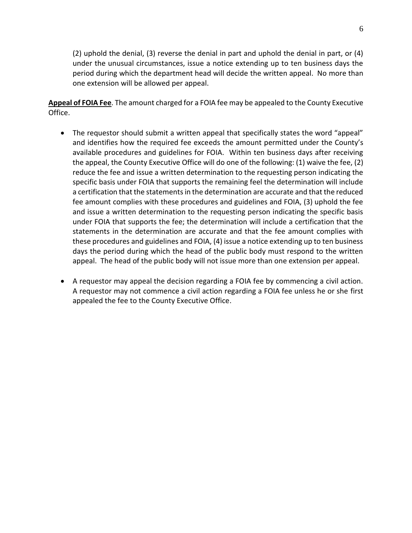(2) uphold the denial, (3) reverse the denial in part and uphold the denial in part, or (4) under the unusual circumstances, issue a notice extending up to ten business days the period during which the department head will decide the written appeal. No more than one extension will be allowed per appeal.

**Appeal of FOIA Fee**. The amount charged for a FOIA fee may be appealed to the County Executive Office.

- The requestor should submit a written appeal that specifically states the word "appeal" and identifies how the required fee exceeds the amount permitted under the County's available procedures and guidelines for FOIA. Within ten business days after receiving the appeal, the County Executive Office will do one of the following: (1) waive the fee, (2) reduce the fee and issue a written determination to the requesting person indicating the specific basis under FOIA that supports the remaining feel the determination will include a certification that the statements in the determination are accurate and that the reduced fee amount complies with these procedures and guidelines and FOIA, (3) uphold the fee and issue a written determination to the requesting person indicating the specific basis under FOIA that supports the fee; the determination will include a certification that the statements in the determination are accurate and that the fee amount complies with these procedures and guidelines and FOIA, (4) issue a notice extending up to ten business days the period during which the head of the public body must respond to the written appeal. The head of the public body will not issue more than one extension per appeal.
- A requestor may appeal the decision regarding a FOIA fee by commencing a civil action. A requestor may not commence a civil action regarding a FOIA fee unless he or she first appealed the fee to the County Executive Office.